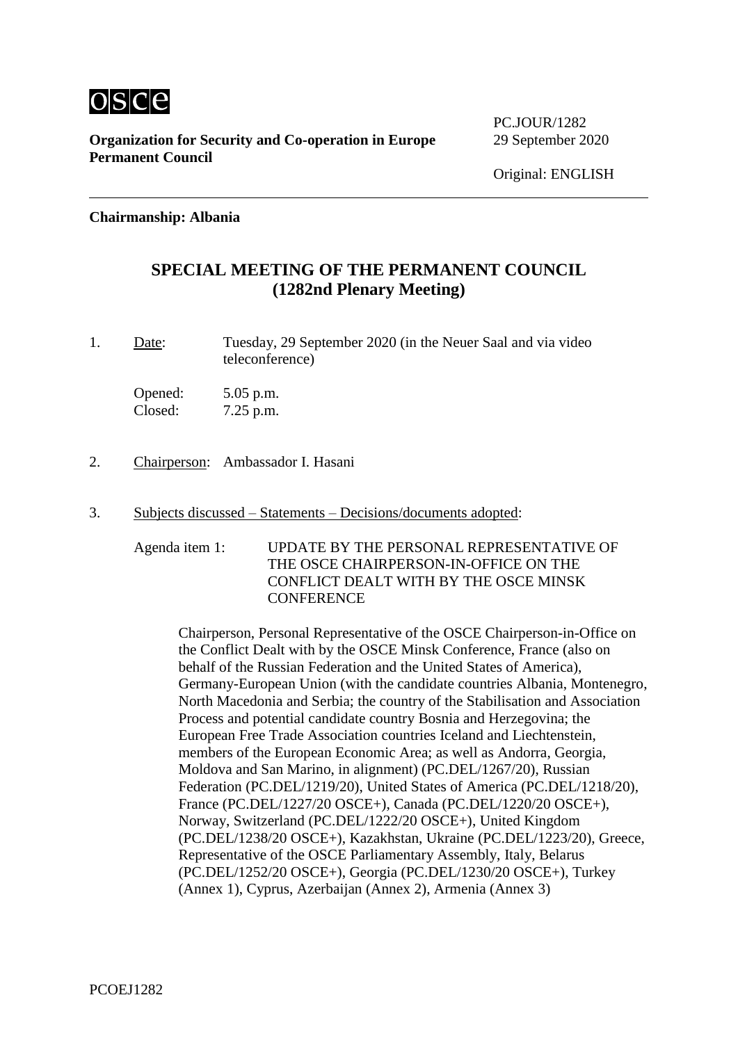

**Organization for Security and Co-operation in Europe** 29 September 2020 **Permanent Council**

PC.IOUR/1282

### **Chairmanship: Albania**

# **SPECIAL MEETING OF THE PERMANENT COUNCIL (1282nd Plenary Meeting)**

1. Date: Tuesday, 29 September 2020 (in the Neuer Saal and via video teleconference)

Opened: 5.05 p.m. Closed: 7.25 p.m.

- 2. Chairperson: Ambassador I. Hasani
- 3. Subjects discussed Statements Decisions/documents adopted:

Agenda item 1: UPDATE BY THE PERSONAL REPRESENTATIVE OF THE OSCE CHAIRPERSON-IN-OFFICE ON THE CONFLICT DEALT WITH BY THE OSCE MINSK **CONFERENCE** 

Chairperson, Personal Representative of the OSCE Chairperson-in-Office on the Conflict Dealt with by the OSCE Minsk Conference, France (also on behalf of the Russian Federation and the United States of America), Germany-European Union (with the candidate countries Albania, Montenegro, North Macedonia and Serbia; the country of the Stabilisation and Association Process and potential candidate country Bosnia and Herzegovina; the European Free Trade Association countries Iceland and Liechtenstein, members of the European Economic Area; as well as Andorra, Georgia, Moldova and San Marino, in alignment) (PC.DEL/1267/20), Russian Federation (PC.DEL/1219/20), United States of America (PC.DEL/1218/20), France (PC.DEL/1227/20 OSCE+), Canada (PC.DEL/1220/20 OSCE+), Norway, Switzerland (PC.DEL/1222/20 OSCE+), United Kingdom (PC.DEL/1238/20 OSCE+), Kazakhstan, Ukraine (PC.DEL/1223/20), Greece, Representative of the OSCE Parliamentary Assembly, Italy, Belarus (PC.DEL/1252/20 OSCE+), Georgia (PC.DEL/1230/20 OSCE+), Turkey (Annex 1), Cyprus, Azerbaijan (Annex 2), Armenia (Annex 3)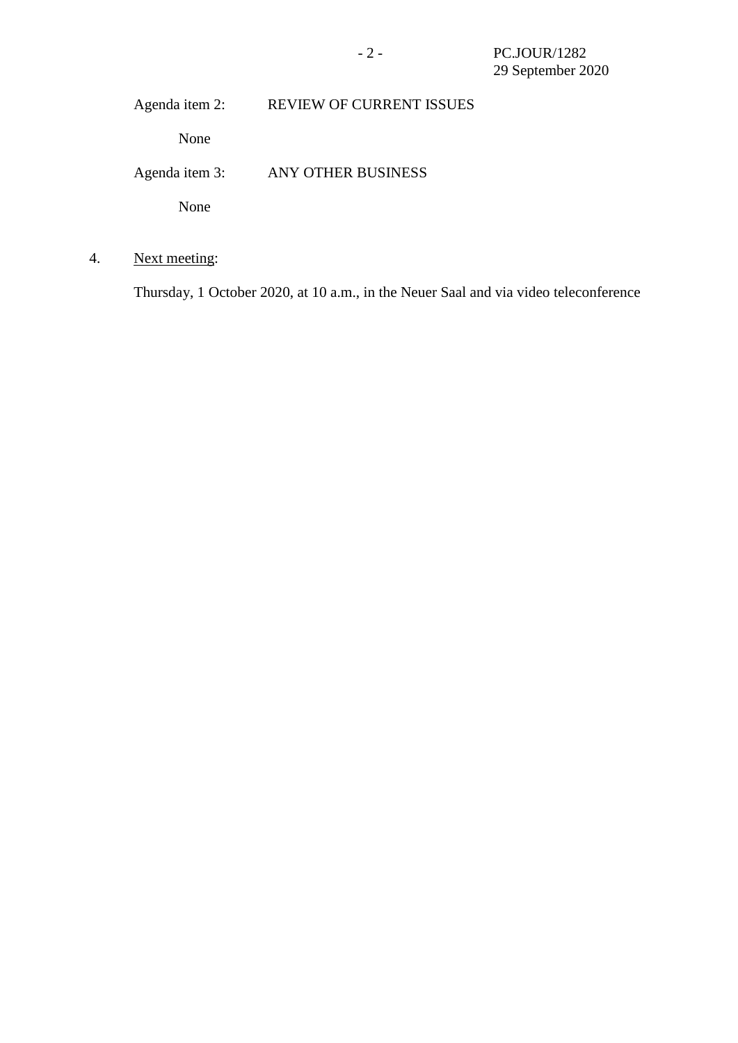Agenda item 2: REVIEW OF CURRENT ISSUES

None

Agenda item 3: ANY OTHER BUSINESS

None

4. Next meeting:

Thursday, 1 October 2020, at 10 a.m., in the Neuer Saal and via video teleconference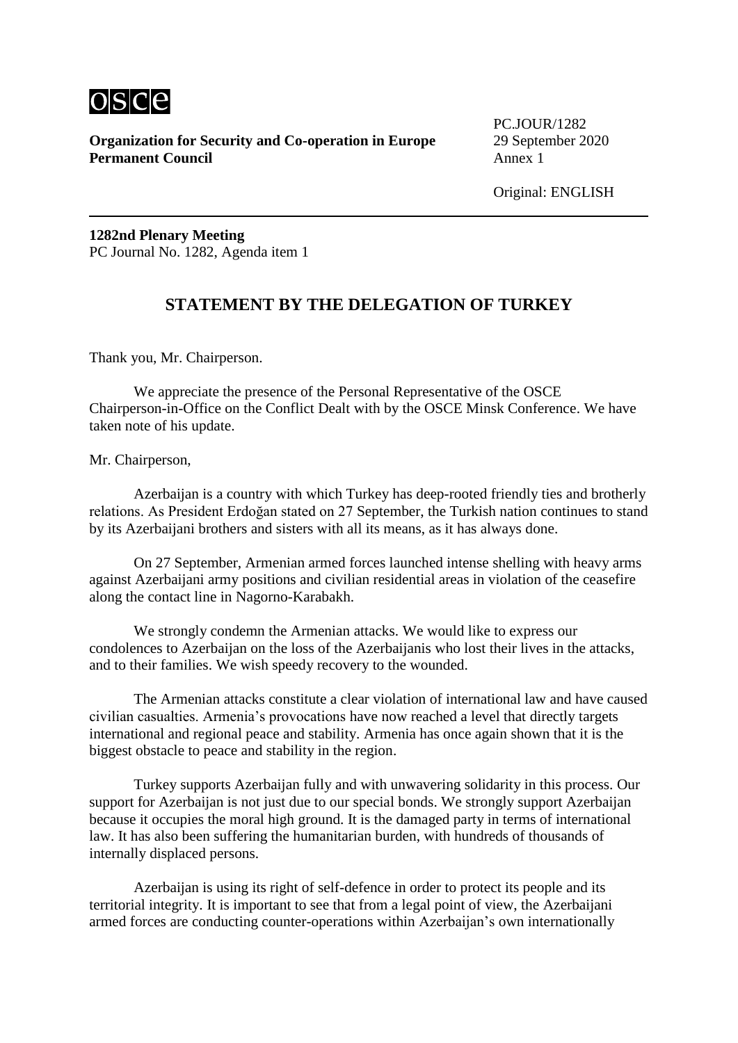

**Organization for Security and Co-operation in Europe** 29 September 2020 **Permanent Council** Annex 1

PC.JOUR/1282

Original: ENGLISH

**1282nd Plenary Meeting** PC Journal No. 1282, Agenda item 1

# **STATEMENT BY THE DELEGATION OF TURKEY**

Thank you, Mr. Chairperson.

We appreciate the presence of the Personal Representative of the OSCE Chairperson-in-Office on the Conflict Dealt with by the OSCE Minsk Conference. We have taken note of his update.

Mr. Chairperson,

Azerbaijan is a country with which Turkey has deep-rooted friendly ties and brotherly relations. As President Erdoğan stated on 27 September, the Turkish nation continues to stand by its Azerbaijani brothers and sisters with all its means, as it has always done.

On 27 September, Armenian armed forces launched intense shelling with heavy arms against Azerbaijani army positions and civilian residential areas in violation of the ceasefire along the contact line in Nagorno-Karabakh.

We strongly condemn the Armenian attacks. We would like to express our condolences to Azerbaijan on the loss of the Azerbaijanis who lost their lives in the attacks, and to their families. We wish speedy recovery to the wounded.

The Armenian attacks constitute a clear violation of international law and have caused civilian casualties. Armenia's provocations have now reached a level that directly targets international and regional peace and stability. Armenia has once again shown that it is the biggest obstacle to peace and stability in the region.

Turkey supports Azerbaijan fully and with unwavering solidarity in this process. Our support for Azerbaijan is not just due to our special bonds. We strongly support Azerbaijan because it occupies the moral high ground. It is the damaged party in terms of international law. It has also been suffering the humanitarian burden, with hundreds of thousands of internally displaced persons.

Azerbaijan is using its right of self-defence in order to protect its people and its territorial integrity. It is important to see that from a legal point of view, the Azerbaijani armed forces are conducting counter-operations within Azerbaijan's own internationally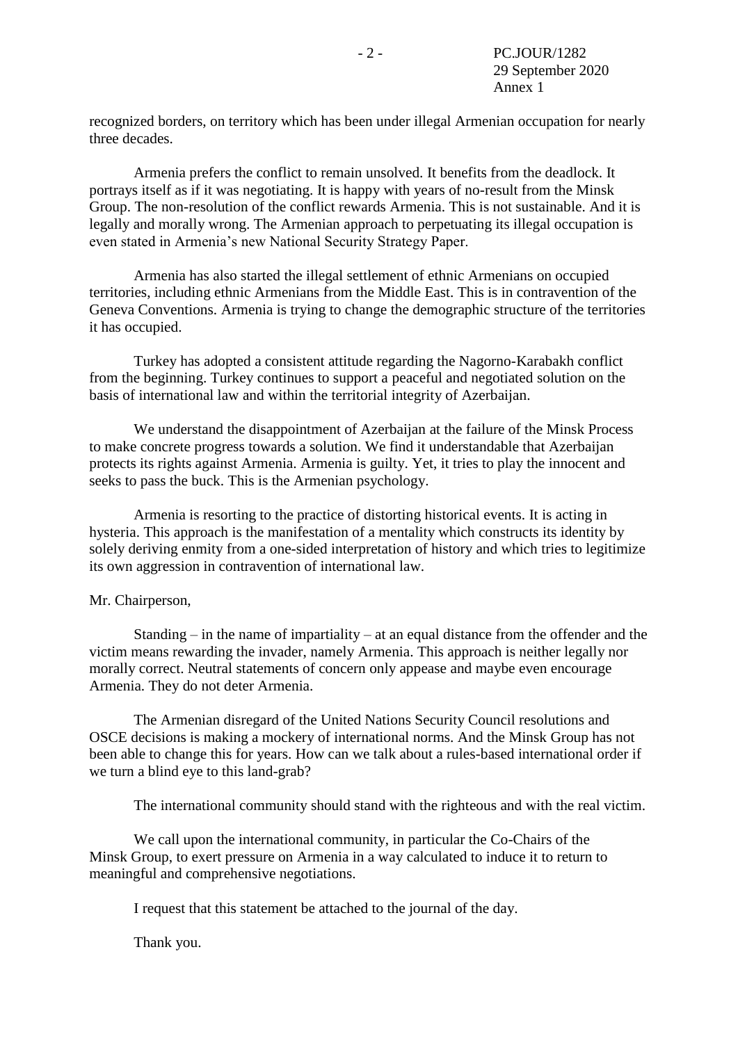recognized borders, on territory which has been under illegal Armenian occupation for nearly three decades.

Armenia prefers the conflict to remain unsolved. It benefits from the deadlock. It portrays itself as if it was negotiating. It is happy with years of no-result from the Minsk Group. The non-resolution of the conflict rewards Armenia. This is not sustainable. And it is legally and morally wrong. The Armenian approach to perpetuating its illegal occupation is even stated in Armenia's new National Security Strategy Paper.

Armenia has also started the illegal settlement of ethnic Armenians on occupied territories, including ethnic Armenians from the Middle East. This is in contravention of the Geneva Conventions. Armenia is trying to change the demographic structure of the territories it has occupied.

Turkey has adopted a consistent attitude regarding the Nagorno-Karabakh conflict from the beginning. Turkey continues to support a peaceful and negotiated solution on the basis of international law and within the territorial integrity of Azerbaijan.

We understand the disappointment of Azerbaijan at the failure of the Minsk Process to make concrete progress towards a solution. We find it understandable that Azerbaijan protects its rights against Armenia. Armenia is guilty. Yet, it tries to play the innocent and seeks to pass the buck. This is the Armenian psychology.

Armenia is resorting to the practice of distorting historical events. It is acting in hysteria. This approach is the manifestation of a mentality which constructs its identity by solely deriving enmity from a one-sided interpretation of history and which tries to legitimize its own aggression in contravention of international law.

#### Mr. Chairperson,

Standing – in the name of impartiality – at an equal distance from the offender and the victim means rewarding the invader, namely Armenia. This approach is neither legally nor morally correct. Neutral statements of concern only appease and maybe even encourage Armenia. They do not deter Armenia.

The Armenian disregard of the United Nations Security Council resolutions and OSCE decisions is making a mockery of international norms. And the Minsk Group has not been able to change this for years. How can we talk about a rules-based international order if we turn a blind eye to this land-grab?

The international community should stand with the righteous and with the real victim.

We call upon the international community, in particular the Co-Chairs of the Minsk Group, to exert pressure on Armenia in a way calculated to induce it to return to meaningful and comprehensive negotiations.

I request that this statement be attached to the journal of the day.

Thank you.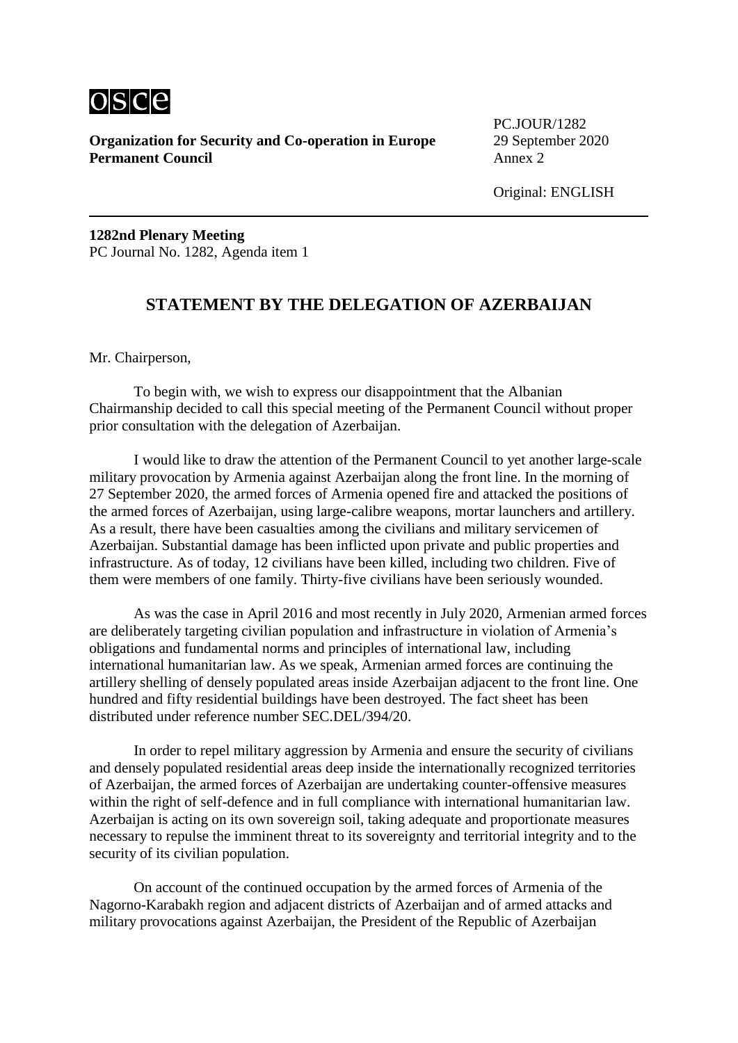

**Organization for Security and Co-operation in Europe** 29 September 2020 **Permanent Council** Annex 2

PC.JOUR/1282

Original: ENGLISH

**1282nd Plenary Meeting** PC Journal No. 1282, Agenda item 1

# **STATEMENT BY THE DELEGATION OF AZERBAIJAN**

Mr. Chairperson,

To begin with, we wish to express our disappointment that the Albanian Chairmanship decided to call this special meeting of the Permanent Council without proper prior consultation with the delegation of Azerbaijan.

I would like to draw the attention of the Permanent Council to yet another large-scale military provocation by Armenia against Azerbaijan along the front line. In the morning of 27 September 2020, the armed forces of Armenia opened fire and attacked the positions of the armed forces of Azerbaijan, using large-calibre weapons, mortar launchers and artillery. As a result, there have been casualties among the civilians and military servicemen of Azerbaijan. Substantial damage has been inflicted upon private and public properties and infrastructure. As of today, 12 civilians have been killed, including two children. Five of them were members of one family. Thirty-five civilians have been seriously wounded.

As was the case in April 2016 and most recently in July 2020, Armenian armed forces are deliberately targeting civilian population and infrastructure in violation of Armenia's obligations and fundamental norms and principles of international law, including international humanitarian law. As we speak, Armenian armed forces are continuing the artillery shelling of densely populated areas inside Azerbaijan adjacent to the front line. One hundred and fifty residential buildings have been destroyed. The fact sheet has been distributed under reference number SEC.DEL/394/20.

In order to repel military aggression by Armenia and ensure the security of civilians and densely populated residential areas deep inside the internationally recognized territories of Azerbaijan, the armed forces of Azerbaijan are undertaking counter-offensive measures within the right of self-defence and in full compliance with international humanitarian law. Azerbaijan is acting on its own sovereign soil, taking adequate and proportionate measures necessary to repulse the imminent threat to its sovereignty and territorial integrity and to the security of its civilian population.

On account of the continued occupation by the armed forces of Armenia of the Nagorno-Karabakh region and adjacent districts of Azerbaijan and of armed attacks and military provocations against Azerbaijan, the President of the Republic of Azerbaijan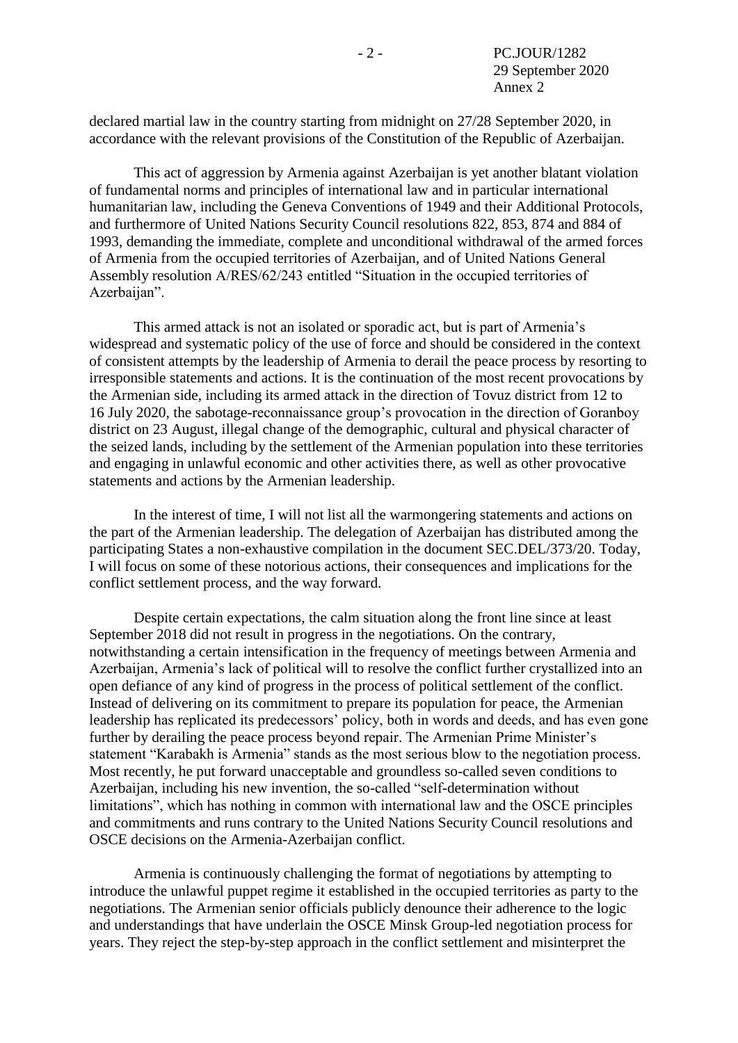declared martial law in the country starting from midnight on 27/28 September 2020, in accordance with the relevant provisions of the Constitution of the Republic of Azerbaijan.

This act of aggression by Armenia against Azerbaijan is yet another blatant violation of fundamental norms and principles of international law and in particular international humanitarian law, including the Geneva Conventions of 1949 and their Additional Protocols, and furthermore of United Nations Security Council resolutions 822, 853, 874 and 884 of 1993, demanding the immediate, complete and unconditional withdrawal of the armed forces of Armenia from the occupied territories of Azerbaijan, and of United Nations General Assembly resolution A/RES/62/243 entitled "Situation in the occupied territories of Azerbaijan".

This armed attack is not an isolated or sporadic act, but is part of Armenia's widespread and systematic policy of the use of force and should be considered in the context of consistent attempts by the leadership of Armenia to derail the peace process by resorting to irresponsible statements and actions. It is the continuation of the most recent provocations by the Armenian side, including its armed attack in the direction of Tovuz district from 12 to 16 July 2020, the sabotage-reconnaissance group's provocation in the direction of Goranboy district on 23 August, illegal change of the demographic, cultural and physical character of the seized lands, including by the settlement of the Armenian population into these territories and engaging in unlawful economic and other activities there, as well as other provocative statements and actions by the Armenian leadership.

In the interest of time, I will not list all the warmongering statements and actions on the part of the Armenian leadership. The delegation of Azerbaijan has distributed among the participating States a non-exhaustive compilation in the document SEC.DEL/373/20. Today, I will focus on some of these notorious actions, their consequences and implications for the conflict settlement process, and the way forward.

Despite certain expectations, the calm situation along the front line since at least September 2018 did not result in progress in the negotiations. On the contrary, notwithstanding a certain intensification in the frequency of meetings between Armenia and Azerbaijan, Armenia's lack of political will to resolve the conflict further crystallized into an open defiance of any kind of progress in the process of political settlement of the conflict. Instead of delivering on its commitment to prepare its population for peace, the Armenian leadership has replicated its predecessors' policy, both in words and deeds, and has even gone further by derailing the peace process beyond repair. The Armenian Prime Minister's statement "Karabakh is Armenia" stands as the most serious blow to the negotiation process. Most recently, he put forward unacceptable and groundless so-called seven conditions to Azerbaijan, including his new invention, the so-called "self-determination without limitations", which has nothing in common with international law and the OSCE principles and commitments and runs contrary to the United Nations Security Council resolutions and OSCE decisions on the Armenia-Azerbaijan conflict.

Armenia is continuously challenging the format of negotiations by attempting to introduce the unlawful puppet regime it established in the occupied territories as party to the negotiations. The Armenian senior officials publicly denounce their adherence to the logic and understandings that have underlain the OSCE Minsk Group-led negotiation process for years. They reject the step-by-step approach in the conflict settlement and misinterpret the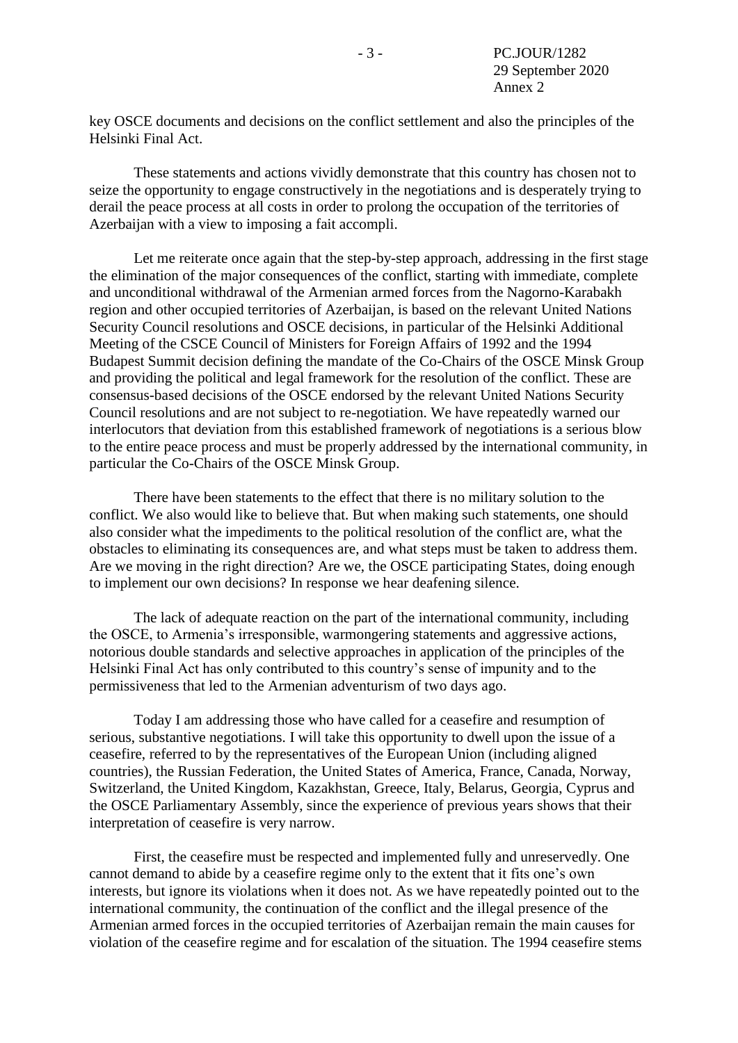key OSCE documents and decisions on the conflict settlement and also the principles of the Helsinki Final Act.

These statements and actions vividly demonstrate that this country has chosen not to seize the opportunity to engage constructively in the negotiations and is desperately trying to derail the peace process at all costs in order to prolong the occupation of the territories of Azerbaijan with a view to imposing a fait accompli.

Let me reiterate once again that the step-by-step approach, addressing in the first stage the elimination of the major consequences of the conflict, starting with immediate, complete and unconditional withdrawal of the Armenian armed forces from the Nagorno-Karabakh region and other occupied territories of Azerbaijan, is based on the relevant United Nations Security Council resolutions and OSCE decisions, in particular of the Helsinki Additional Meeting of the CSCE Council of Ministers for Foreign Affairs of 1992 and the 1994 Budapest Summit decision defining the mandate of the Co-Chairs of the OSCE Minsk Group and providing the political and legal framework for the resolution of the conflict. These are consensus-based decisions of the OSCE endorsed by the relevant United Nations Security Council resolutions and are not subject to re-negotiation. We have repeatedly warned our interlocutors that deviation from this established framework of negotiations is a serious blow to the entire peace process and must be properly addressed by the international community, in particular the Co-Chairs of the OSCE Minsk Group.

There have been statements to the effect that there is no military solution to the conflict. We also would like to believe that. But when making such statements, one should also consider what the impediments to the political resolution of the conflict are, what the obstacles to eliminating its consequences are, and what steps must be taken to address them. Are we moving in the right direction? Are we, the OSCE participating States, doing enough to implement our own decisions? In response we hear deafening silence.

The lack of adequate reaction on the part of the international community, including the OSCE, to Armenia's irresponsible, warmongering statements and aggressive actions, notorious double standards and selective approaches in application of the principles of the Helsinki Final Act has only contributed to this country's sense of impunity and to the permissiveness that led to the Armenian adventurism of two days ago.

Today I am addressing those who have called for a ceasefire and resumption of serious, substantive negotiations. I will take this opportunity to dwell upon the issue of a ceasefire, referred to by the representatives of the European Union (including aligned countries), the Russian Federation, the United States of America, France, Canada, Norway, Switzerland, the United Kingdom, Kazakhstan, Greece, Italy, Belarus, Georgia, Cyprus and the OSCE Parliamentary Assembly, since the experience of previous years shows that their interpretation of ceasefire is very narrow.

First, the ceasefire must be respected and implemented fully and unreservedly. One cannot demand to abide by a ceasefire regime only to the extent that it fits one's own interests, but ignore its violations when it does not. As we have repeatedly pointed out to the international community, the continuation of the conflict and the illegal presence of the Armenian armed forces in the occupied territories of Azerbaijan remain the main causes for violation of the ceasefire regime and for escalation of the situation. The 1994 ceasefire stems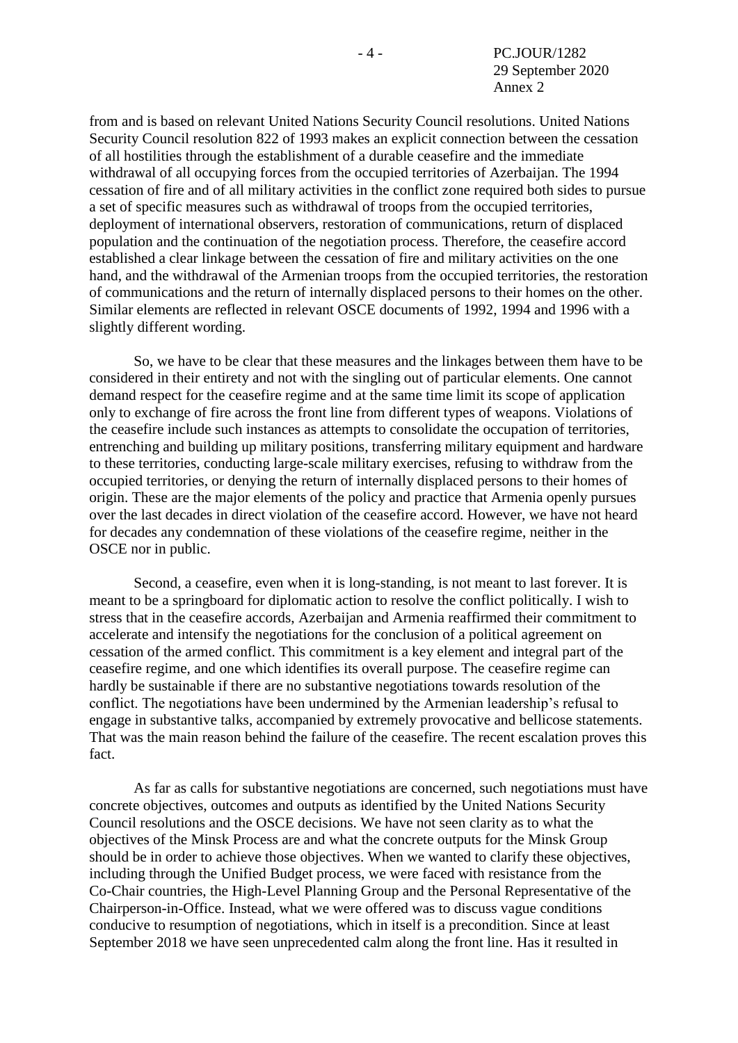from and is based on relevant United Nations Security Council resolutions. United Nations Security Council resolution 822 of 1993 makes an explicit connection between the cessation of all hostilities through the establishment of a durable ceasefire and the immediate withdrawal of all occupying forces from the occupied territories of Azerbaijan. The 1994 cessation of fire and of all military activities in the conflict zone required both sides to pursue a set of specific measures such as withdrawal of troops from the occupied territories, deployment of international observers, restoration of communications, return of displaced population and the continuation of the negotiation process. Therefore, the ceasefire accord established a clear linkage between the cessation of fire and military activities on the one hand, and the withdrawal of the Armenian troops from the occupied territories, the restoration of communications and the return of internally displaced persons to their homes on the other. Similar elements are reflected in relevant OSCE documents of 1992, 1994 and 1996 with a slightly different wording.

So, we have to be clear that these measures and the linkages between them have to be considered in their entirety and not with the singling out of particular elements. One cannot demand respect for the ceasefire regime and at the same time limit its scope of application only to exchange of fire across the front line from different types of weapons. Violations of the ceasefire include such instances as attempts to consolidate the occupation of territories, entrenching and building up military positions, transferring military equipment and hardware to these territories, conducting large-scale military exercises, refusing to withdraw from the occupied territories, or denying the return of internally displaced persons to their homes of origin. These are the major elements of the policy and practice that Armenia openly pursues over the last decades in direct violation of the ceasefire accord. However, we have not heard for decades any condemnation of these violations of the ceasefire regime, neither in the OSCE nor in public.

Second, a ceasefire, even when it is long-standing, is not meant to last forever. It is meant to be a springboard for diplomatic action to resolve the conflict politically. I wish to stress that in the ceasefire accords, Azerbaijan and Armenia reaffirmed their commitment to accelerate and intensify the negotiations for the conclusion of a political agreement on cessation of the armed conflict. This commitment is a key element and integral part of the ceasefire regime, and one which identifies its overall purpose. The ceasefire regime can hardly be sustainable if there are no substantive negotiations towards resolution of the conflict. The negotiations have been undermined by the Armenian leadership's refusal to engage in substantive talks, accompanied by extremely provocative and bellicose statements. That was the main reason behind the failure of the ceasefire. The recent escalation proves this fact.

As far as calls for substantive negotiations are concerned, such negotiations must have concrete objectives, outcomes and outputs as identified by the United Nations Security Council resolutions and the OSCE decisions. We have not seen clarity as to what the objectives of the Minsk Process are and what the concrete outputs for the Minsk Group should be in order to achieve those objectives. When we wanted to clarify these objectives, including through the Unified Budget process, we were faced with resistance from the Co-Chair countries, the High-Level Planning Group and the Personal Representative of the Chairperson-in-Office. Instead, what we were offered was to discuss vague conditions conducive to resumption of negotiations, which in itself is a precondition. Since at least September 2018 we have seen unprecedented calm along the front line. Has it resulted in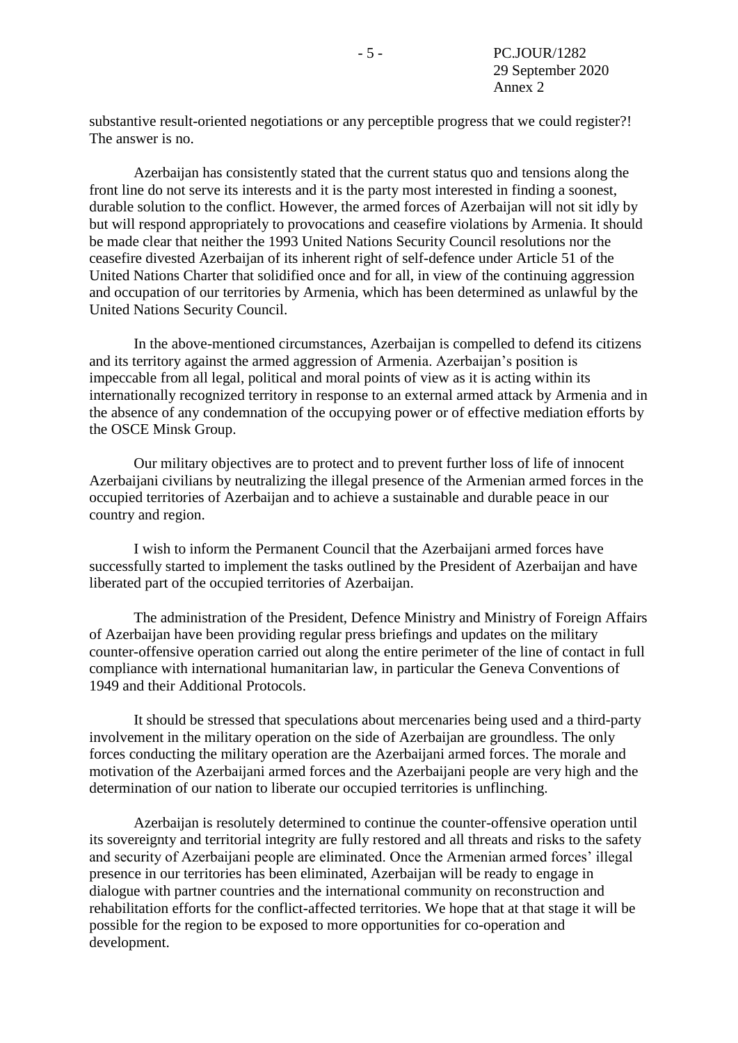substantive result-oriented negotiations or any perceptible progress that we could register?! The answer is no.

Azerbaijan has consistently stated that the current status quo and tensions along the front line do not serve its interests and it is the party most interested in finding a soonest, durable solution to the conflict. However, the armed forces of Azerbaijan will not sit idly by but will respond appropriately to provocations and ceasefire violations by Armenia. It should be made clear that neither the 1993 United Nations Security Council resolutions nor the ceasefire divested Azerbaijan of its inherent right of self-defence under Article 51 of the United Nations Charter that solidified once and for all, in view of the continuing aggression and occupation of our territories by Armenia, which has been determined as unlawful by the United Nations Security Council.

In the above-mentioned circumstances, Azerbaijan is compelled to defend its citizens and its territory against the armed aggression of Armenia. Azerbaijan's position is impeccable from all legal, political and moral points of view as it is acting within its internationally recognized territory in response to an external armed attack by Armenia and in the absence of any condemnation of the occupying power or of effective mediation efforts by the OSCE Minsk Group.

Our military objectives are to protect and to prevent further loss of life of innocent Azerbaijani civilians by neutralizing the illegal presence of the Armenian armed forces in the occupied territories of Azerbaijan and to achieve a sustainable and durable peace in our country and region.

I wish to inform the Permanent Council that the Azerbaijani armed forces have successfully started to implement the tasks outlined by the President of Azerbaijan and have liberated part of the occupied territories of Azerbaijan.

The administration of the President, Defence Ministry and Ministry of Foreign Affairs of Azerbaijan have been providing regular press briefings and updates on the military counter-offensive operation carried out along the entire perimeter of the line of contact in full compliance with international humanitarian law, in particular the Geneva Conventions of 1949 and their Additional Protocols.

It should be stressed that speculations about mercenaries being used and a third-party involvement in the military operation on the side of Azerbaijan are groundless. The only forces conducting the military operation are the Azerbaijani armed forces. The morale and motivation of the Azerbaijani armed forces and the Azerbaijani people are very high and the determination of our nation to liberate our occupied territories is unflinching.

Azerbaijan is resolutely determined to continue the counter-offensive operation until its sovereignty and territorial integrity are fully restored and all threats and risks to the safety and security of Azerbaijani people are eliminated. Once the Armenian armed forces' illegal presence in our territories has been eliminated, Azerbaijan will be ready to engage in dialogue with partner countries and the international community on reconstruction and rehabilitation efforts for the conflict-affected territories. We hope that at that stage it will be possible for the region to be exposed to more opportunities for co-operation and development.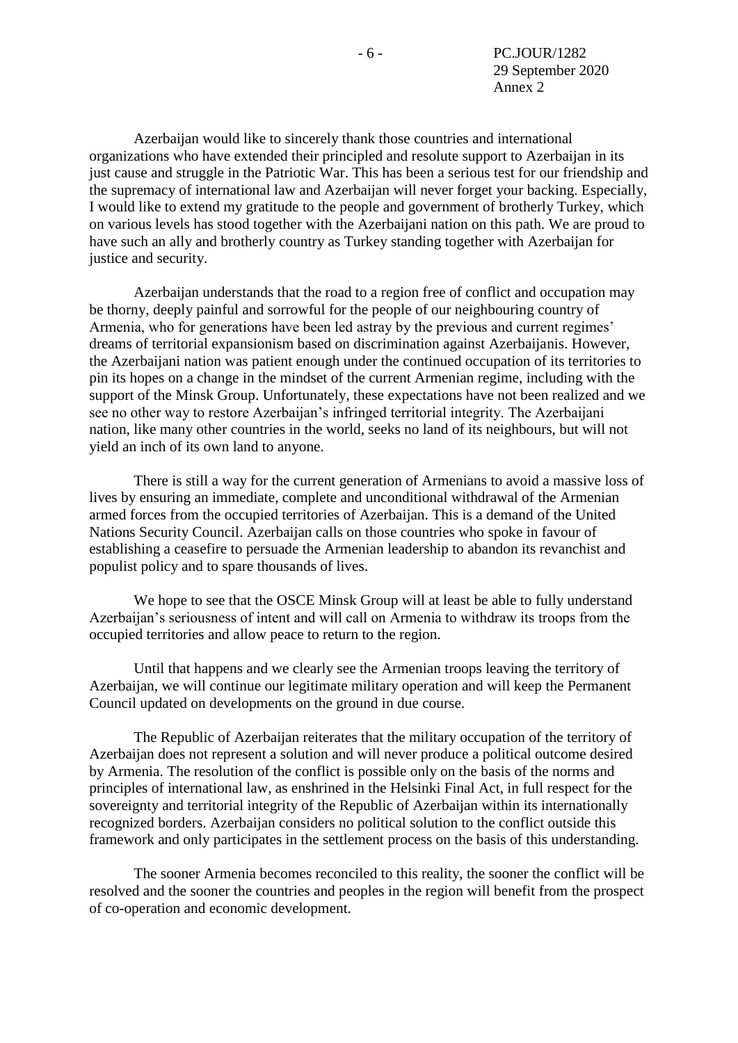Azerbaijan would like to sincerely thank those countries and international organizations who have extended their principled and resolute support to Azerbaijan in its just cause and struggle in the Patriotic War. This has been a serious test for our friendship and the supremacy of international law and Azerbaijan will never forget your backing. Especially, I would like to extend my gratitude to the people and government of brotherly Turkey, which on various levels has stood together with the Azerbaijani nation on this path. We are proud to have such an ally and brotherly country as Turkey standing together with Azerbaijan for justice and security.

Azerbaijan understands that the road to a region free of conflict and occupation may be thorny, deeply painful and sorrowful for the people of our neighbouring country of Armenia, who for generations have been led astray by the previous and current regimes' dreams of territorial expansionism based on discrimination against Azerbaijanis. However, the Azerbaijani nation was patient enough under the continued occupation of its territories to pin its hopes on a change in the mindset of the current Armenian regime, including with the support of the Minsk Group. Unfortunately, these expectations have not been realized and we see no other way to restore Azerbaijan's infringed territorial integrity. The Azerbaijani nation, like many other countries in the world, seeks no land of its neighbours, but will not yield an inch of its own land to anyone.

There is still a way for the current generation of Armenians to avoid a massive loss of lives by ensuring an immediate, complete and unconditional withdrawal of the Armenian armed forces from the occupied territories of Azerbaijan. This is a demand of the United Nations Security Council. Azerbaijan calls on those countries who spoke in favour of establishing a ceasefire to persuade the Armenian leadership to abandon its revanchist and populist policy and to spare thousands of lives.

We hope to see that the OSCE Minsk Group will at least be able to fully understand Azerbaijan's seriousness of intent and will call on Armenia to withdraw its troops from the occupied territories and allow peace to return to the region.

Until that happens and we clearly see the Armenian troops leaving the territory of Azerbaijan, we will continue our legitimate military operation and will keep the Permanent Council updated on developments on the ground in due course.

The Republic of Azerbaijan reiterates that the military occupation of the territory of Azerbaijan does not represent a solution and will never produce a political outcome desired by Armenia. The resolution of the conflict is possible only on the basis of the norms and principles of international law, as enshrined in the Helsinki Final Act, in full respect for the sovereignty and territorial integrity of the Republic of Azerbaijan within its internationally recognized borders. Azerbaijan considers no political solution to the conflict outside this framework and only participates in the settlement process on the basis of this understanding.

The sooner Armenia becomes reconciled to this reality, the sooner the conflict will be resolved and the sooner the countries and peoples in the region will benefit from the prospect of co-operation and economic development.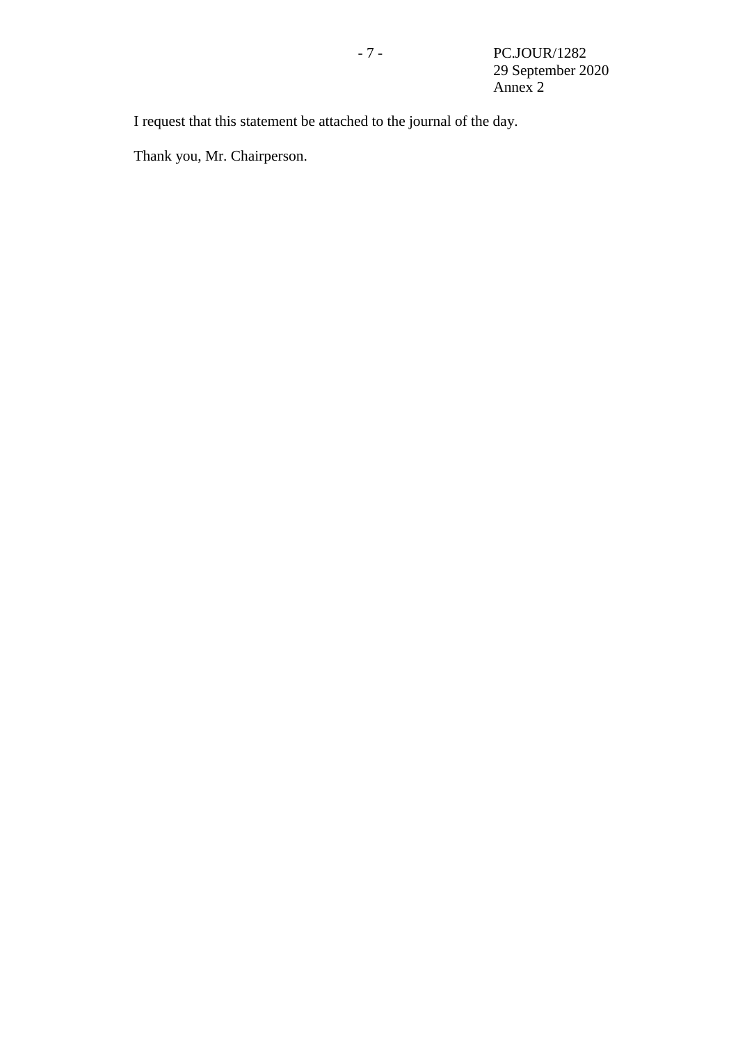I request that this statement be attached to the journal of the day.

Thank you, Mr. Chairperson.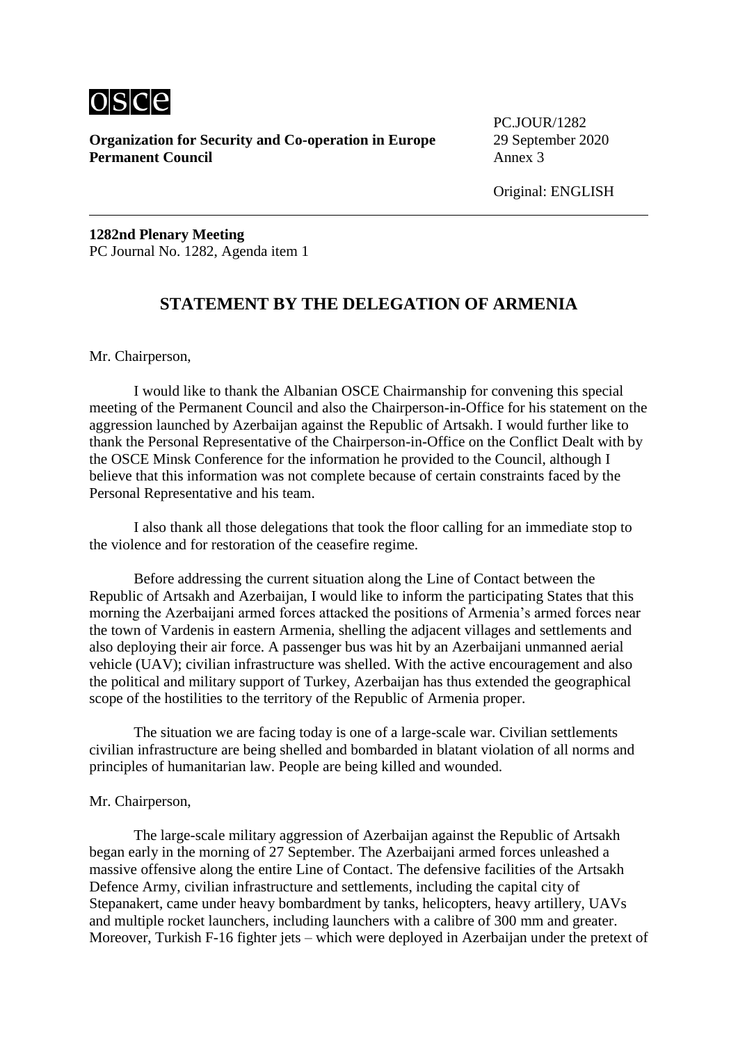

**Organization for Security and Co-operation in Europe** 29 September 2020<br>**Permanent Council** Annex 3 **Permanent Council** 

PC.JOUR/1282

Original: ENGLISH

**1282nd Plenary Meeting** PC Journal No. 1282, Agenda item 1

# **STATEMENT BY THE DELEGATION OF ARMENIA**

Mr. Chairperson,

I would like to thank the Albanian OSCE Chairmanship for convening this special meeting of the Permanent Council and also the Chairperson-in-Office for his statement on the aggression launched by Azerbaijan against the Republic of Artsakh. I would further like to thank the Personal Representative of the Chairperson-in-Office on the Conflict Dealt with by the OSCE Minsk Conference for the information he provided to the Council, although I believe that this information was not complete because of certain constraints faced by the Personal Representative and his team.

I also thank all those delegations that took the floor calling for an immediate stop to the violence and for restoration of the ceasefire regime.

Before addressing the current situation along the Line of Contact between the Republic of Artsakh and Azerbaijan, I would like to inform the participating States that this morning the Azerbaijani armed forces attacked the positions of Armenia's armed forces near the town of Vardenis in eastern Armenia, shelling the adjacent villages and settlements and also deploying their air force. A passenger bus was hit by an Azerbaijani unmanned aerial vehicle (UAV); civilian infrastructure was shelled. With the active encouragement and also the political and military support of Turkey, Azerbaijan has thus extended the geographical scope of the hostilities to the territory of the Republic of Armenia proper.

The situation we are facing today is one of a large-scale war. Civilian settlements civilian infrastructure are being shelled and bombarded in blatant violation of all norms and principles of humanitarian law. People are being killed and wounded.

#### Mr. Chairperson,

The large-scale military aggression of Azerbaijan against the Republic of Artsakh began early in the morning of 27 September. The Azerbaijani armed forces unleashed a massive offensive along the entire Line of Contact. The defensive facilities of the Artsakh Defence Army, civilian infrastructure and settlements, including the capital city of Stepanakert, came under heavy bombardment by tanks, helicopters, heavy artillery, UAVs and multiple rocket launchers, including launchers with a calibre of 300 mm and greater. Moreover, Turkish F-16 fighter jets – which were deployed in Azerbaijan under the pretext of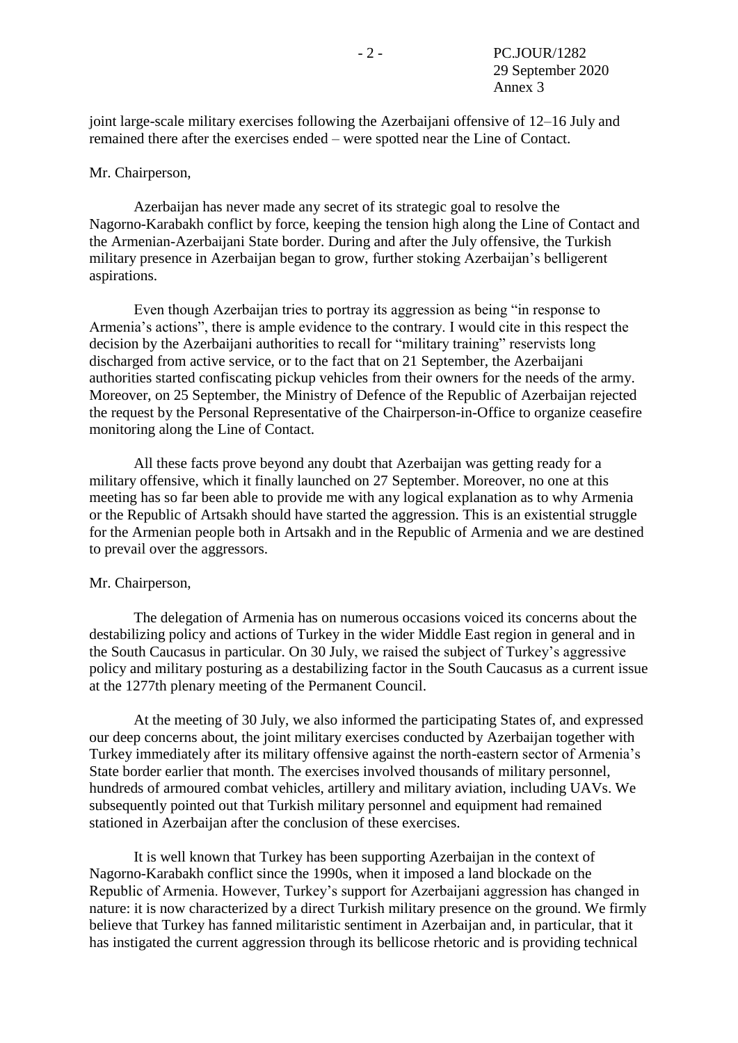joint large-scale military exercises following the Azerbaijani offensive of 12–16 July and remained there after the exercises ended – were spotted near the Line of Contact.

### Mr. Chairperson,

Azerbaijan has never made any secret of its strategic goal to resolve the Nagorno-Karabakh conflict by force, keeping the tension high along the Line of Contact and the Armenian-Azerbaijani State border. During and after the July offensive, the Turkish military presence in Azerbaijan began to grow, further stoking Azerbaijan's belligerent aspirations.

Even though Azerbaijan tries to portray its aggression as being "in response to Armenia's actions", there is ample evidence to the contrary. I would cite in this respect the decision by the Azerbaijani authorities to recall for "military training" reservists long discharged from active service, or to the fact that on 21 September, the Azerbaijani authorities started confiscating pickup vehicles from their owners for the needs of the army. Moreover, on 25 September, the Ministry of Defence of the Republic of Azerbaijan rejected the request by the Personal Representative of the Chairperson-in-Office to organize ceasefire monitoring along the Line of Contact.

All these facts prove beyond any doubt that Azerbaijan was getting ready for a military offensive, which it finally launched on 27 September. Moreover, no one at this meeting has so far been able to provide me with any logical explanation as to why Armenia or the Republic of Artsakh should have started the aggression. This is an existential struggle for the Armenian people both in Artsakh and in the Republic of Armenia and we are destined to prevail over the aggressors.

#### Mr. Chairperson,

The delegation of Armenia has on numerous occasions voiced its concerns about the destabilizing policy and actions of Turkey in the wider Middle East region in general and in the South Caucasus in particular. On 30 July, we raised the subject of Turkey's aggressive policy and military posturing as a destabilizing factor in the South Caucasus as a current issue at the 1277th plenary meeting of the Permanent Council.

At the meeting of 30 July, we also informed the participating States of, and expressed our deep concerns about, the joint military exercises conducted by Azerbaijan together with Turkey immediately after its military offensive against the north-eastern sector of Armenia's State border earlier that month. The exercises involved thousands of military personnel, hundreds of armoured combat vehicles, artillery and military aviation, including UAVs. We subsequently pointed out that Turkish military personnel and equipment had remained stationed in Azerbaijan after the conclusion of these exercises.

It is well known that Turkey has been supporting Azerbaijan in the context of Nagorno-Karabakh conflict since the 1990s, when it imposed a land blockade on the Republic of Armenia. However, Turkey's support for Azerbaijani aggression has changed in nature: it is now characterized by a direct Turkish military presence on the ground. We firmly believe that Turkey has fanned militaristic sentiment in Azerbaijan and, in particular, that it has instigated the current aggression through its bellicose rhetoric and is providing technical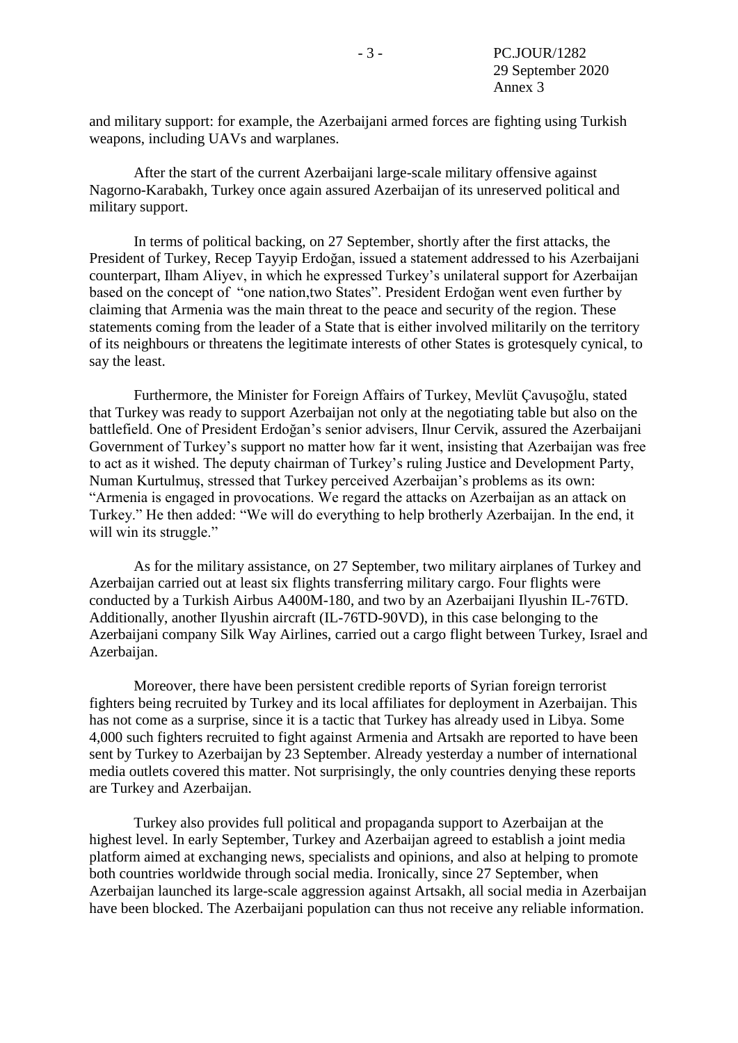and military support: for example, the Azerbaijani armed forces are fighting using Turkish weapons, including UAVs and warplanes.

After the start of the current Azerbaijani large-scale military offensive against Nagorno-Karabakh, Turkey once again assured Azerbaijan of its unreserved political and military support.

In terms of political backing, on 27 September, shortly after the first attacks, the President of Turkey, Recep Tayyip Erdoğan, issued a statement addressed to his Azerbaijani counterpart, Ilham Aliyev, in which he expressed Turkey's unilateral support for Azerbaijan based on the concept of "one nation,two States". President Erdoğan went even further by claiming that Armenia was the main threat to the peace and security of the region. These statements coming from the leader of a State that is either involved militarily on the territory of its neighbours or threatens the legitimate interests of other States is grotesquely cynical, to say the least.

Furthermore, the Minister for Foreign Affairs of Turkey, Mevlüt Çavuşoğlu, stated that Turkey was ready to support Azerbaijan not only at the negotiating table but also on the battlefield. One of President Erdoğan's senior advisers, Ilnur Cervik, assured the Azerbaijani Government of Turkey's support no matter how far it went, insisting that Azerbaijan was free to act as it wished. The deputy chairman of Turkey's ruling Justice and Development Party, Numan Kurtulmuş, stressed that Turkey perceived Azerbaijan's problems as its own: "Armenia is engaged in provocations. We regard the attacks on Azerbaijan as an attack on Turkey." He then added: "We will do everything to help brotherly Azerbaijan. In the end, it will win its struggle."

As for the military assistance, on 27 September, two military airplanes of Turkey and Azerbaijan carried out at least six flights transferring military cargo. Four flights were conducted by a Turkish Airbus A400M-180, and two by an Azerbaijani Ilyushin IL-76TD. Additionally, another Ilyushin aircraft (IL-76TD-90VD), in this case belonging to the Azerbaijani company Silk Way Airlines, carried out a cargo flight between Turkey, Israel and Azerbaijan.

Moreover, there have been persistent credible reports of Syrian foreign terrorist fighters being recruited by Turkey and its local affiliates for deployment in Azerbaijan. This has not come as a surprise, since it is a tactic that Turkey has already used in Libya. Some 4,000 such fighters recruited to fight against Armenia and Artsakh are reported to have been sent by Turkey to Azerbaijan by 23 September. Already yesterday a number of international media outlets covered this matter. Not surprisingly, the only countries denying these reports are Turkey and Azerbaijan.

Turkey also provides full political and propaganda support to Azerbaijan at the highest level. In early September, Turkey and Azerbaijan agreed to establish a joint media platform aimed at exchanging news, specialists and opinions, and also at helping to promote both countries worldwide through social media. Ironically, since 27 September, when Azerbaijan launched its large-scale aggression against Artsakh, all social media in Azerbaijan have been blocked. The Azerbaijani population can thus not receive any reliable information.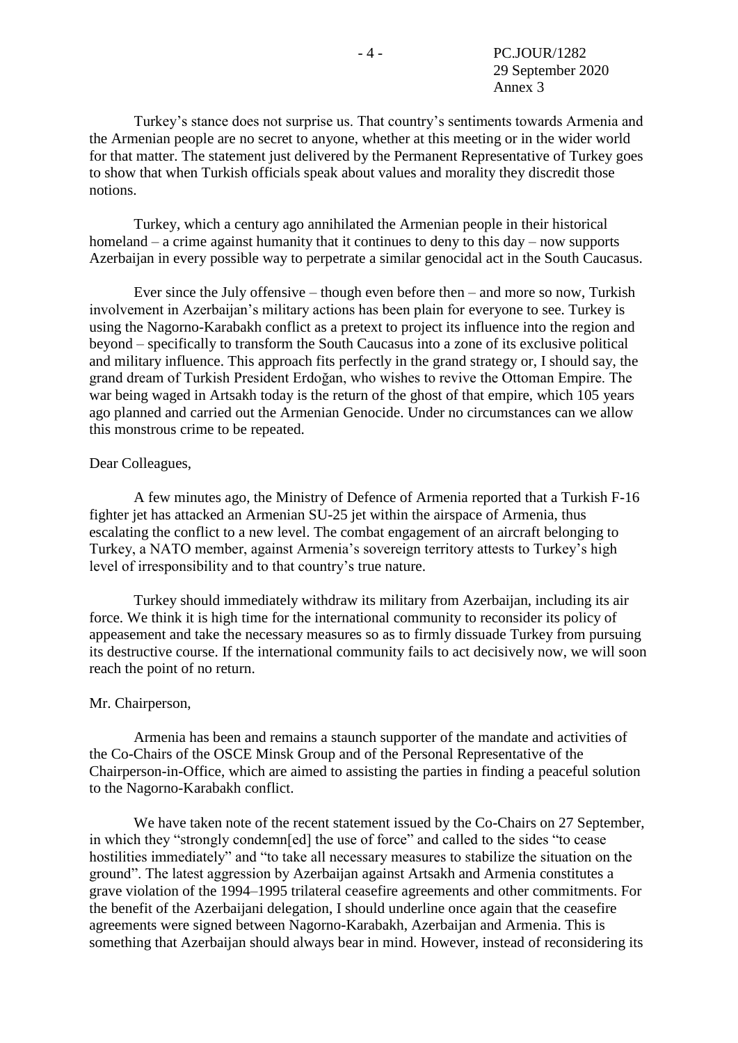Turkey's stance does not surprise us. That country's sentiments towards Armenia and the Armenian people are no secret to anyone, whether at this meeting or in the wider world for that matter. The statement just delivered by the Permanent Representative of Turkey goes to show that when Turkish officials speak about values and morality they discredit those notions.

Turkey, which a century ago annihilated the Armenian people in their historical homeland – a crime against humanity that it continues to deny to this day – now supports Azerbaijan in every possible way to perpetrate a similar genocidal act in the South Caucasus.

Ever since the July offensive – though even before then – and more so now, Turkish involvement in Azerbaijan's military actions has been plain for everyone to see. Turkey is using the Nagorno-Karabakh conflict as a pretext to project its influence into the region and beyond – specifically to transform the South Caucasus into a zone of its exclusive political and military influence. This approach fits perfectly in the grand strategy or, I should say, the grand dream of Turkish President Erdoğan, who wishes to revive the Ottoman Empire. The war being waged in Artsakh today is the return of the ghost of that empire, which 105 years ago planned and carried out the Armenian Genocide. Under no circumstances can we allow this monstrous crime to be repeated.

### Dear Colleagues,

A few minutes ago, the Ministry of Defence of Armenia reported that a Turkish F-16 fighter jet has attacked an Armenian SU-25 jet within the airspace of Armenia, thus escalating the conflict to a new level. The combat engagement of an aircraft belonging to Turkey, a NATO member, against Armenia's sovereign territory attests to Turkey's high level of irresponsibility and to that country's true nature.

Turkey should immediately withdraw its military from Azerbaijan, including its air force. We think it is high time for the international community to reconsider its policy of appeasement and take the necessary measures so as to firmly dissuade Turkey from pursuing its destructive course. If the international community fails to act decisively now, we will soon reach the point of no return.

#### Mr. Chairperson,

Armenia has been and remains a staunch supporter of the mandate and activities of the Co-Chairs of the OSCE Minsk Group and of the Personal Representative of the Chairperson-in-Office, which are aimed to assisting the parties in finding a peaceful solution to the Nagorno-Karabakh conflict.

We have taken note of the recent statement issued by the Co-Chairs on 27 September, in which they "strongly condemn[ed] the use of force" and called to the sides "to cease hostilities immediately" and "to take all necessary measures to stabilize the situation on the ground". The latest aggression by Azerbaijan against Artsakh and Armenia constitutes a grave violation of the 1994–1995 trilateral ceasefire agreements and other commitments. For the benefit of the Azerbaijani delegation, I should underline once again that the ceasefire agreements were signed between Nagorno-Karabakh, Azerbaijan and Armenia. This is something that Azerbaijan should always bear in mind. However, instead of reconsidering its